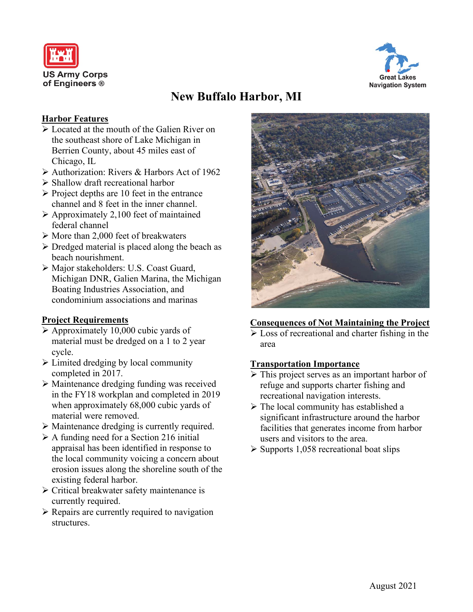



# **New Buffalo Harbor, MI**

## **Harbor Features**

- $\triangleright$  Located at the mouth of the Galien River on the southeast shore of Lake Michigan in Berrien County, about 45 miles east of Chicago, IL
- Authorization: Rivers & Harbors Act of 1962
- Shallow draft recreational harbor
- $\triangleright$  Project depths are 10 feet in the entrance channel and 8 feet in the inner channel.
- $\triangleright$  Approximately 2,100 feet of maintained federal channel
- $\triangleright$  More than 2,000 feet of breakwaters
- $\triangleright$  Dredged material is placed along the beach as beach nourishment.
- Major stakeholders: U.S. Coast Guard, Michigan DNR, Galien Marina, the Michigan Boating Industries Association, and condominium associations and marinas

## **Project Requirements**

- $\triangleright$  Approximately 10,000 cubic yards of material must be dredged on a 1 to 2 year cycle.
- $\triangleright$  Limited dredging by local community completed in 2017.
- Maintenance dredging funding was received in the FY18 workplan and completed in 2019 when approximately 68,000 cubic yards of material were removed.
- Maintenance dredging is currently required.
- $\triangleright$  A funding need for a Section 216 initial appraisal has been identified in response to the local community voicing a concern about erosion issues along the shoreline south of the existing federal harbor.
- $\triangleright$  Critical breakwater safety maintenance is currently required.
- $\triangleright$  Repairs are currently required to navigation structures.



## **Consequences of Not Maintaining the Project**

 $\triangleright$  Loss of recreational and charter fishing in the area

## **Transportation Importance**

- $\triangleright$  This project serves as an important harbor of refuge and supports charter fishing and recreational navigation interests.
- $\triangleright$  The local community has established a significant infrastructure around the harbor facilities that generates income from harbor users and visitors to the area.
- $\triangleright$  Supports 1,058 recreational boat slips